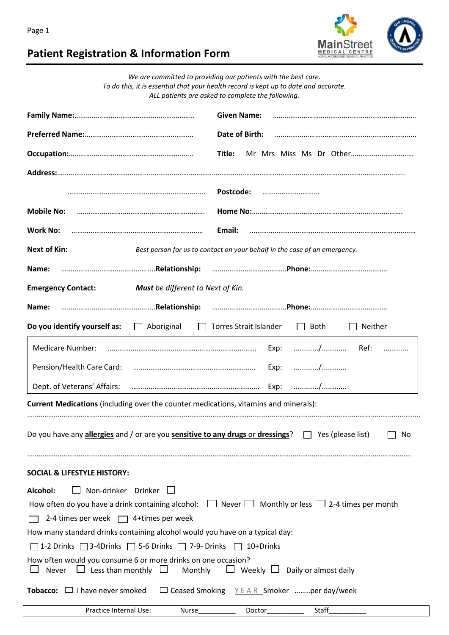

## **Patient Registration & Information Form**

| We are committed to providing our patients with the best care.                                                                            |                                                                           |  |
|-------------------------------------------------------------------------------------------------------------------------------------------|---------------------------------------------------------------------------|--|
| To do this, it is essential that your health record is kept up to date and accurate.<br>ALL patients are asked to complete the following. |                                                                           |  |
|                                                                                                                                           |                                                                           |  |
|                                                                                                                                           | <b>Given Name:</b>                                                        |  |
|                                                                                                                                           | Date of Birth:                                                            |  |
| Title:                                                                                                                                    |                                                                           |  |
|                                                                                                                                           |                                                                           |  |
|                                                                                                                                           | Postcode:                                                                 |  |
| <b>Mobile No:</b>                                                                                                                         |                                                                           |  |
|                                                                                                                                           |                                                                           |  |
| Email:<br><b>Work No:</b>                                                                                                                 |                                                                           |  |
| <b>Next of Kin:</b>                                                                                                                       | Best person for us to contact on your behalf in the case of an emergency. |  |
| Name:                                                                                                                                     |                                                                           |  |
| <b>Must</b> be different to Next of Kin.<br><b>Emergency Contact:</b>                                                                     |                                                                           |  |
| Name:                                                                                                                                     |                                                                           |  |
| Do you identify yourself as:<br>Aboriginal<br>$\mathbb{R}^n$                                                                              | Torres Strait Islander<br>$\Box$ Both<br>Neither                          |  |
| <b>Medicare Number:</b>                                                                                                                   | Exp:                                                                      |  |
| Pension/Health Care Card:                                                                                                                 | Exp: /                                                                    |  |
| Dept. of Veterans' Affairs:                                                                                                               | Exp: /                                                                    |  |
| Current Medications (including over the counter medications, vitamins and minerals):                                                      |                                                                           |  |
|                                                                                                                                           |                                                                           |  |
| Do you have any allergies and / or are you sensitive to any drugs or dressings? $\Box$ Yes (please list)<br>No                            |                                                                           |  |
| <b>SOCIAL &amp; LIFESTYLE HISTORY:</b>                                                                                                    |                                                                           |  |
| Non-drinker Drinker $\square$<br>Alcohol:                                                                                                 |                                                                           |  |
| How often do you have a drink containing alcohol: $\Box$ Never $\Box$ Monthly or less $\Box$ 2-4 times per month                          |                                                                           |  |
| 2-4 times per week $\Box$ 4+times per week                                                                                                |                                                                           |  |
| How many standard drinks containing alcohol would you have on a typical day:                                                              |                                                                           |  |
| $\Box$ 1-2 Drinks $\Box$ 3-4Drinks $\Box$ 5-6 Drinks $\Box$ 7-9- Drinks $\Box$ 10+Drinks                                                  |                                                                           |  |
| How often would you consume 6 or more drinks on one occasion?<br>$\Box$ Less than monthly $\Box$<br>Monthly<br>Never                      | $\Box$ Weekly $\Box$ Daily or almost daily                                |  |
| <b>Tobacco:</b> $\Box$ I have never smoked                                                                                                | $\Box$ Ceased Smoking $Y E AR$ Smoker per day/week                        |  |
| Practice Internal Use:<br>Nurse_____________                                                                                              | Staff<br>Doctor__________                                                 |  |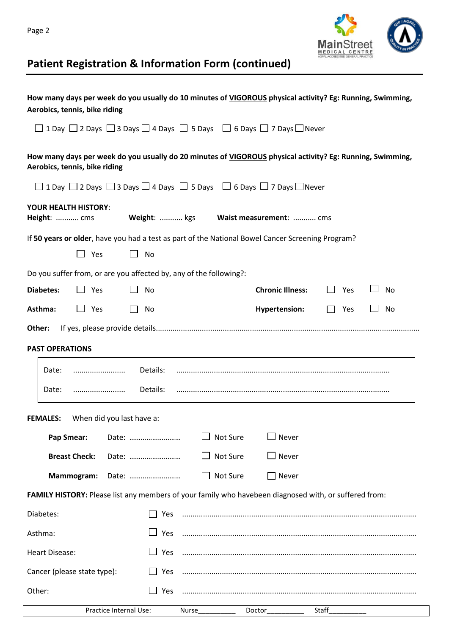



## **Patient Registration & Information Form (continued)**

| How many days per week do you usually do 10 minutes of VIGOROUS physical activity? Eg: Running, Swimming,<br>Aerobics, tennis, bike riding |                                      |
|--------------------------------------------------------------------------------------------------------------------------------------------|--------------------------------------|
| $\Box$ 1 Day $\Box$ 2 Days $\Box$ 3 Days $\Box$ 4 Days $\Box$ 5 Days $\Box$ 6 Days $\Box$ 7 Days $\Box$ Never                              |                                      |
| How many days per week do you usually do 20 minutes of VIGOROUS physical activity? Eg: Running, Swimming,<br>Aerobics, tennis, bike riding |                                      |
| $\Box$ 1 Day $\Box$ 2 Days $\Box$ 3 Days $\Box$ 4 Days $\Box$ 5 Days $\Box$ 6 Days $\Box$ 7 Days $\Box$ Never                              |                                      |
| <b>YOUR HEALTH HISTORY:</b><br>Height:  cms<br>Weight:  kgs Waist measurement:  cms                                                        |                                      |
| If 50 years or older, have you had a test as part of the National Bowel Cancer Screening Program?                                          |                                      |
| Yes<br>$\mathbf{L}$<br>$\Box$<br><b>No</b>                                                                                                 |                                      |
| Do you suffer from, or are you affected by, any of the following?:                                                                         |                                      |
| <b>Diabetes:</b><br>$\Box$<br>Yes<br>No                                                                                                    | <b>Chronic Illness:</b><br>Yes<br>No |
| Asthma:<br>$\Box$ Yes<br>No                                                                                                                | <b>Hypertension:</b><br>No<br>Yes    |
| Other:                                                                                                                                     |                                      |
| <b>PAST OPERATIONS</b>                                                                                                                     |                                      |
| Details:<br>Date:<br>                                                                                                                      |                                      |
| Details:<br>Date:                                                                                                                          |                                      |
|                                                                                                                                            |                                      |
| <b>FEMALES:</b><br>When did you last have a:                                                                                               |                                      |
| $\Box$ Not Sure<br><b>Pap Smear:</b><br>Date:                                                                                              | $\Box$ Never                         |
| Not Sure<br><b>Breast Check:</b><br>Date:                                                                                                  | $\Box$ Never                         |
| Not Sure<br>Mammogram:<br>Date:                                                                                                            | $\Box$ Never                         |
| FAMILY HISTORY: Please list any members of your family who havebeen diagnosed with, or suffered from:                                      |                                      |
| Diabetes:<br>Yes                                                                                                                           |                                      |
| $\Box$ Yes<br>Asthma:                                                                                                                      |                                      |
| $\Box$ Yes<br><b>Heart Disease:</b>                                                                                                        |                                      |
| Cancer (please state type):                                                                                                                |                                      |
| Other:<br>Yes                                                                                                                              |                                      |
| Practice Internal Use:<br><b>Nurse</b>                                                                                                     | Staff<br>Doctor                      |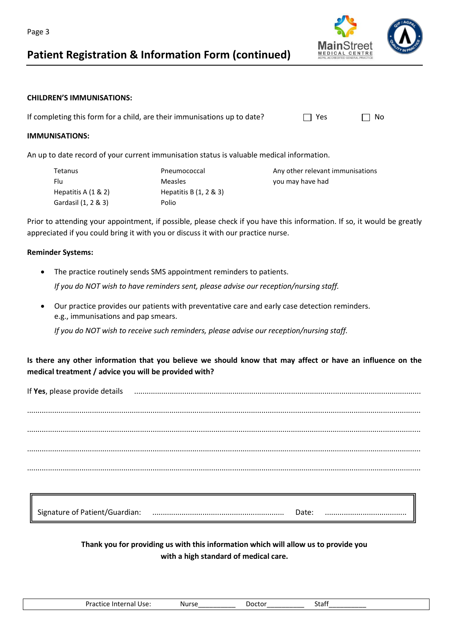### **Patient Registration & Information Form (continued)**



#### **CHILDREN'S IMMUNISATIONS:**

If completing this form for a child, are their immunisations up to date?  $\Box$  Yes  $\Box$  No

#### **IMMUNISATIONS:**

An up to date record of your current immunisation status is valuable medical information.

| Tetanus                | Pneumococcal              | Any other relevant immunisations |
|------------------------|---------------------------|----------------------------------|
| Flu                    | <b>Measles</b>            | you may have had                 |
| Hepatitis A $(1 \& 2)$ | Hepatitis B $(1, 2 \& 3)$ |                                  |
| Gardasil (1, 2 & 3)    | Polio                     |                                  |
|                        |                           |                                  |

Prior to attending your appointment, if possible, please check if you have this information. If so, it would be greatly appreciated if you could bring it with you or discuss it with our practice nurse.

#### **Reminder Systems:**

- The practice routinely sends SMS appointment reminders to patients. *If you do NOT wish to have reminders sent, please advise our reception/nursing staff.*
- Our practice provides our patients with preventative care and early case detection reminders. e.g., immunisations and pap smears.

*If you do NOT wish to receive such reminders, please advise our reception/nursing staff.*

**Is there any other information that you believe we should know that may affect or have an influence on the medical treatment / advice you will be provided with?**

If **Yes**, please provide details ......................................................................................................................................... ............................................................................................................................................................................................ ............................................................................................................................................................................................ ............................................................................................................................................................................................ ............................................................................................................................................................................................

| Signature of Patient/Guardian: | valo |  |
|--------------------------------|------|--|
|                                | .    |  |

**Thank you for providing us with this information which will allow us to provide you with a high standard of medical care.**

| <b>1</b><br>1.0.0000<br>Use.<br>uce .<br>∴ or<br>ti i i di<br>1111<br>. a . | - Nurs<br>. | ---- | $-+$<br>. |
|-----------------------------------------------------------------------------|-------------|------|-----------|
|-----------------------------------------------------------------------------|-------------|------|-----------|